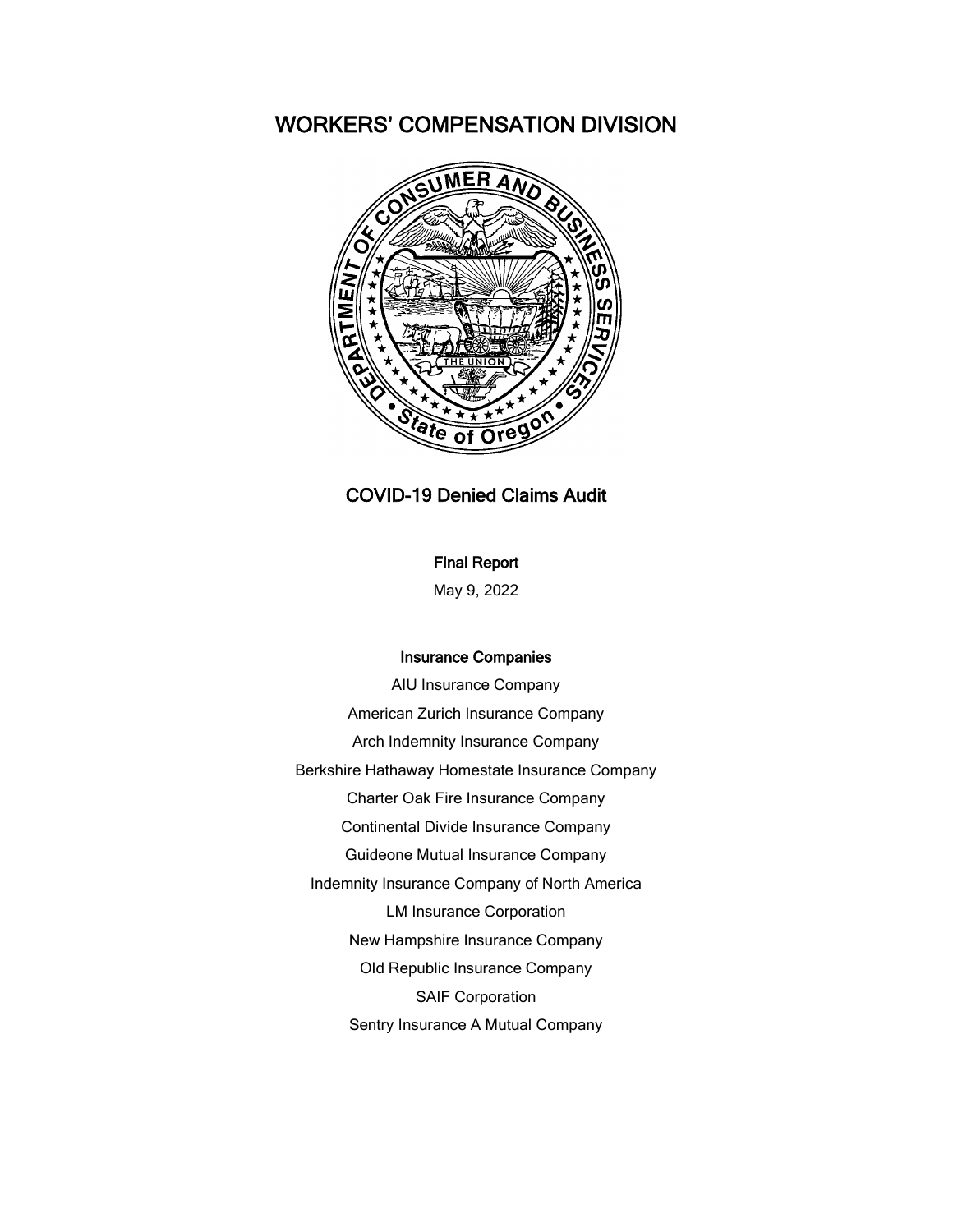# WORKERS' COMPENSATION DIVISION



### COVID-19 Denied Claims Audit

#### Final Report

May 9, 2022

#### Insurance Companies

AIU Insurance Company American Zurich Insurance Company Arch Indemnity Insurance Company Berkshire Hathaway Homestate Insurance Company Charter Oak Fire Insurance Company Continental Divide Insurance Company Guideone Mutual Insurance Company Indemnity Insurance Company of North America LM Insurance Corporation New Hampshire Insurance Company Old Republic Insurance Company SAIF Corporation Sentry Insurance A Mutual Company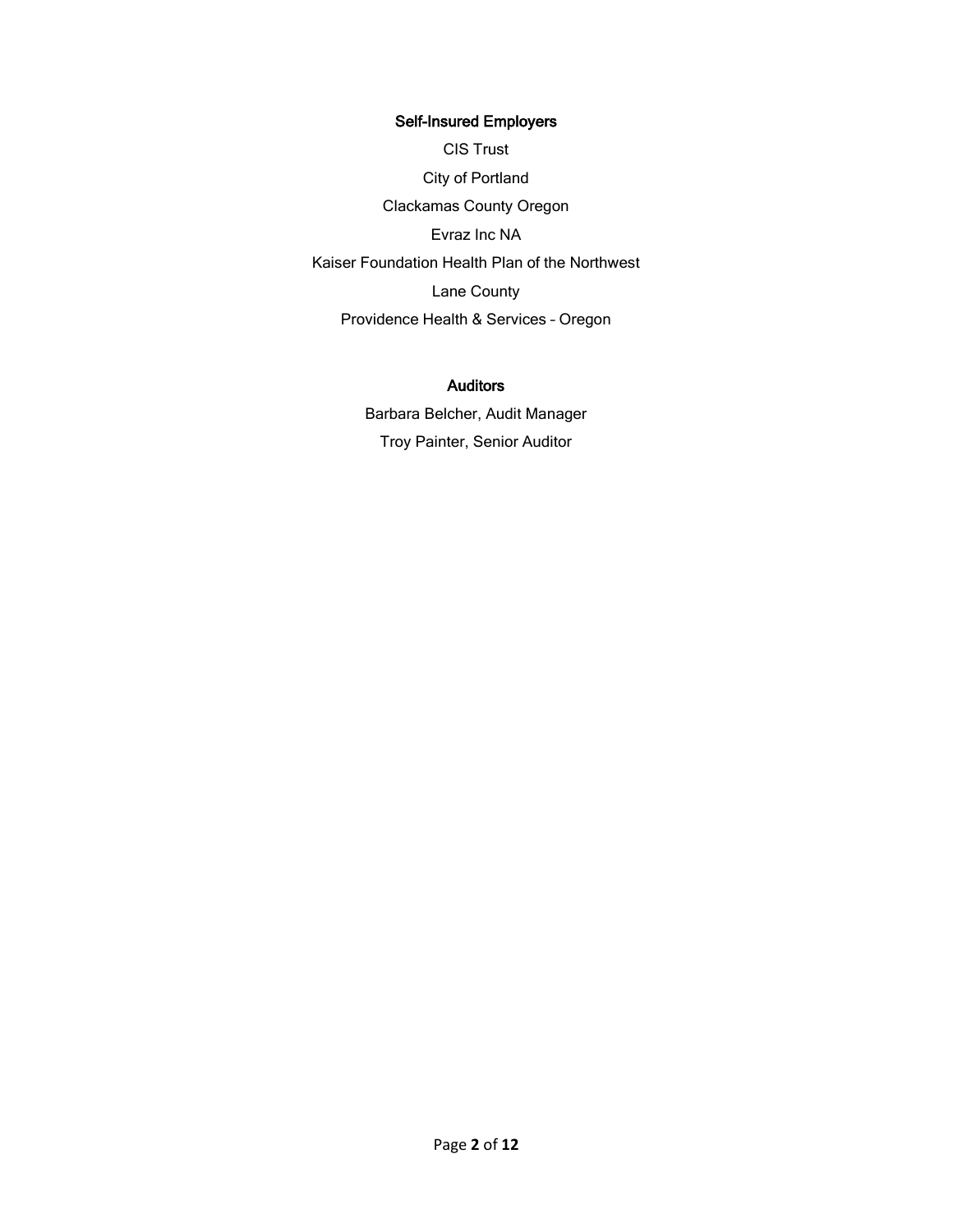#### Self-Insured Employers

CIS Trust City of Portland Clackamas County Oregon Evraz Inc NA Kaiser Foundation Health Plan of the Northwest Lane County Providence Health & Services – Oregon

#### Auditors

Barbara Belcher, Audit Manager Troy Painter, Senior Auditor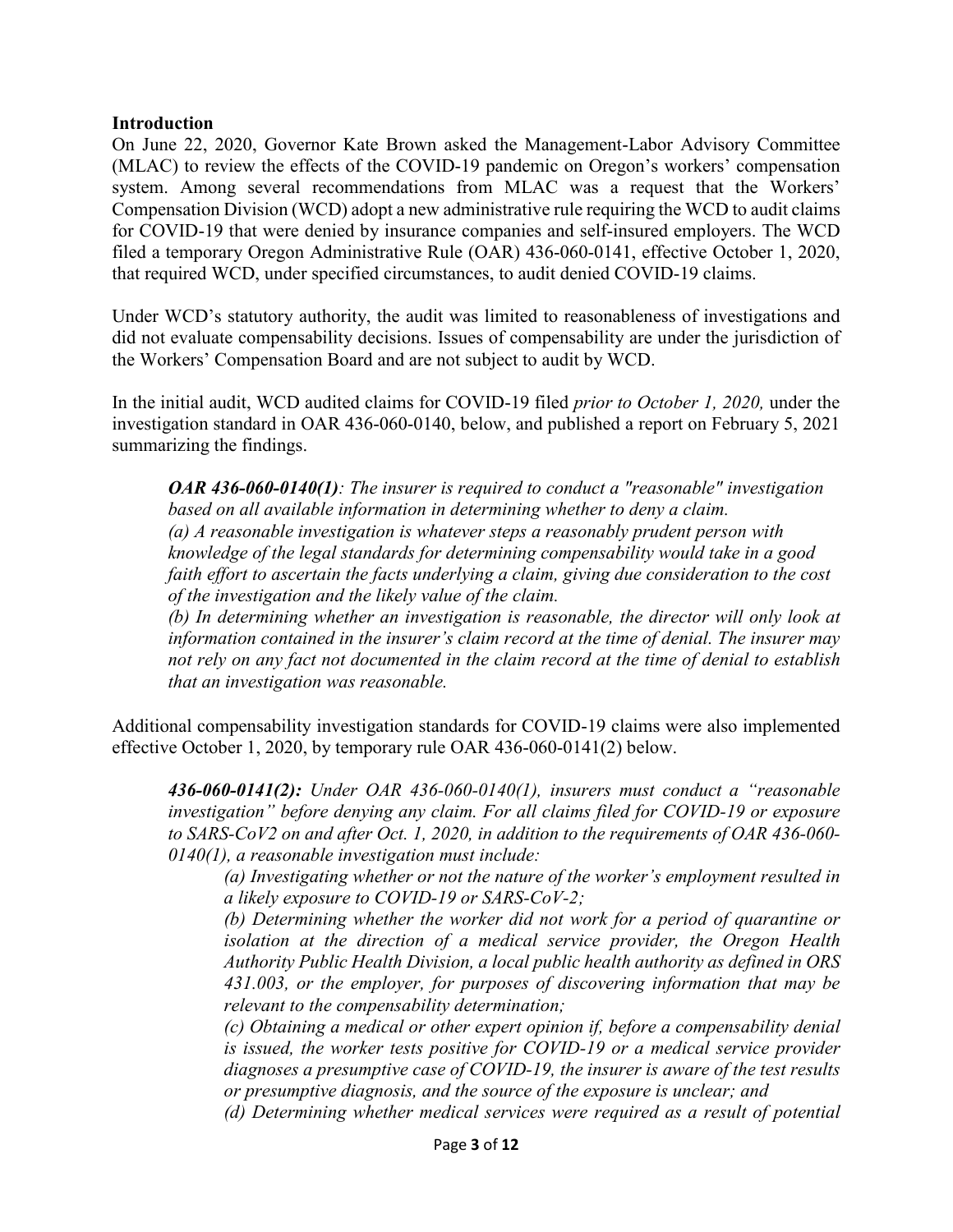#### **Introduction**

On June 22, 2020, Governor Kate Brown asked the Management-Labor Advisory Committee (MLAC) to review the effects of the COVID-19 pandemic on Oregon's workers' compensation system. Among several recommendations from MLAC was a request that the Workers' Compensation Division (WCD) adopt a new administrative rule requiring the WCD to audit claims for COVID-19 that were denied by insurance companies and self-insured employers. The WCD filed a temporary Oregon Administrative Rule (OAR) 436-060-0141, effective October 1, 2020, that required WCD, under specified circumstances, to audit denied COVID-19 claims.

Under WCD's statutory authority, the audit was limited to reasonableness of investigations and did not evaluate compensability decisions. Issues of compensability are under the jurisdiction of the Workers' Compensation Board and are not subject to audit by WCD.

In the initial audit, WCD audited claims for COVID-19 filed *prior to October 1, 2020,* under the investigation standard in OAR 436-060-0140, below, and published a report on February 5, 2021 summarizing the findings.

*OAR 436-060-0140(1): The insurer is required to conduct a "reasonable" investigation based on all available information in determining whether to deny a claim. (a) A reasonable investigation is whatever steps a reasonably prudent person with knowledge of the legal standards for determining compensability would take in a good faith effort to ascertain the facts underlying a claim, giving due consideration to the cost of the investigation and the likely value of the claim.*

*(b) In determining whether an investigation is reasonable, the director will only look at information contained in the insurer's claim record at the time of denial. The insurer may not rely on any fact not documented in the claim record at the time of denial to establish that an investigation was reasonable.*

Additional compensability investigation standards for COVID-19 claims were also implemented effective October 1, 2020, by temporary rule OAR 436-060-0141(2) below.

*436-060-0141(2): Under OAR 436-060-0140(1), insurers must conduct a "reasonable investigation" before denying any claim. For all claims filed for COVID-19 or exposure to SARS-CoV2 on and after Oct. 1, 2020, in addition to the requirements of OAR 436-060- 0140(1), a reasonable investigation must include:*

*(a) Investigating whether or not the nature of the worker's employment resulted in a likely exposure to COVID-19 or SARS-CoV-2;*

*(b) Determining whether the worker did not work for a period of quarantine or isolation at the direction of a medical service provider, the Oregon Health Authority Public Health Division, a local public health authority as defined in ORS 431.003, or the employer, for purposes of discovering information that may be relevant to the compensability determination;*

*(c) Obtaining a medical or other expert opinion if, before a compensability denial is issued, the worker tests positive for COVID-19 or a medical service provider diagnoses a presumptive case of COVID-19, the insurer is aware of the test results or presumptive diagnosis, and the source of the exposure is unclear; and*

*(d) Determining whether medical services were required as a result of potential*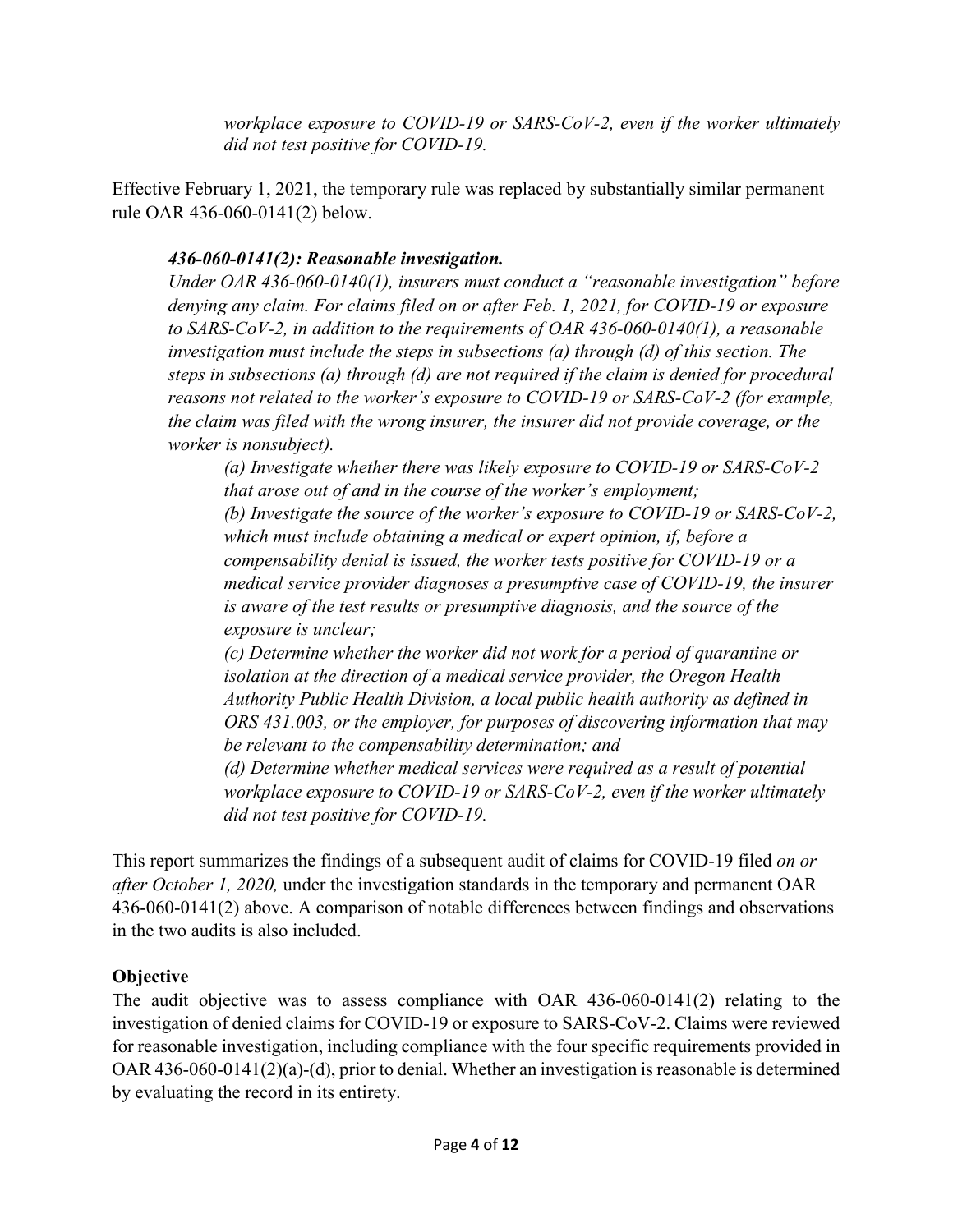*workplace exposure to COVID-19 or SARS-CoV-2, even if the worker ultimately did not test positive for COVID-19.*

Effective February 1, 2021, the temporary rule was replaced by substantially similar permanent rule OAR 436-060-0141(2) below.

# *436-060-0141(2): Reasonable investigation.*

*Under OAR 436-060-0140(1), insurers must conduct a "reasonable investigation" before denying any claim. For claims filed on or after Feb. 1, 2021, for COVID-19 or exposure to SARS-CoV-2, in addition to the requirements of OAR 436-060-0140(1), a reasonable investigation must include the steps in subsections (a) through (d) of this section. The steps in subsections (a) through (d) are not required if the claim is denied for procedural reasons not related to the worker's exposure to COVID-19 or SARS-CoV-2 (for example, the claim was filed with the wrong insurer, the insurer did not provide coverage, or the worker is nonsubject).*

*(a) Investigate whether there was likely exposure to COVID-19 or SARS-CoV-2 that arose out of and in the course of the worker's employment; (b) Investigate the source of the worker's exposure to COVID-19 or SARS-CoV-2, which must include obtaining a medical or expert opinion, if, before a compensability denial is issued, the worker tests positive for COVID-19 or a medical service provider diagnoses a presumptive case of COVID-19, the insurer is aware of the test results or presumptive diagnosis, and the source of the exposure is unclear;*

*(c) Determine whether the worker did not work for a period of quarantine or isolation at the direction of a medical service provider, the Oregon Health Authority Public Health Division, a local public health authority as defined in ORS 431.003, or the employer, for purposes of discovering information that may be relevant to the compensability determination; and*

*(d) Determine whether medical services were required as a result of potential workplace exposure to COVID-19 or SARS-CoV-2, even if the worker ultimately did not test positive for COVID-19.*

This report summarizes the findings of a subsequent audit of claims for COVID-19 filed *on or after October 1, 2020,* under the investigation standards in the temporary and permanent OAR 436-060-0141(2) above. A comparison of notable differences between findings and observations in the two audits is also included.

# **Objective**

The audit objective was to assess compliance with OAR 436-060-0141(2) relating to the investigation of denied claims for COVID-19 or exposure to SARS-CoV-2. Claims were reviewed for reasonable investigation, including compliance with the four specific requirements provided in OAR 436-060-0141(2)(a)-(d), prior to denial. Whether an investigation is reasonable is determined by evaluating the record in its entirety.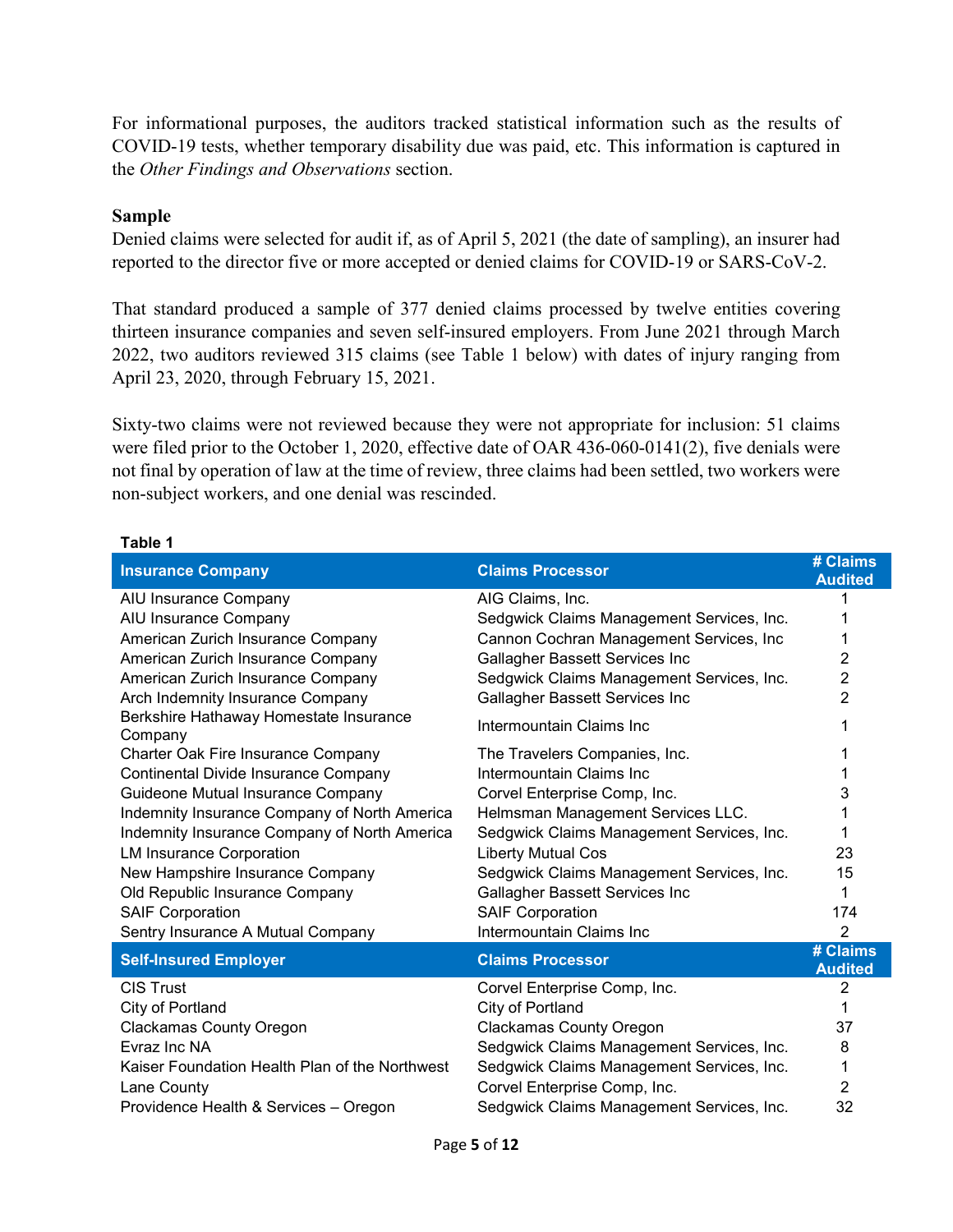For informational purposes, the auditors tracked statistical information such as the results of COVID-19 tests, whether temporary disability due was paid, etc. This information is captured in the *Other Findings and Observations* section.

#### **Sample**

Denied claims were selected for audit if, as of April 5, 2021 (the date of sampling), an insurer had reported to the director five or more accepted or denied claims for COVID-19 or SARS-CoV-2.

That standard produced a sample of 377 denied claims processed by twelve entities covering thirteen insurance companies and seven self-insured employers. From June 2021 through March 2022, two auditors reviewed 315 claims (see Table 1 below) with dates of injury ranging from April 23, 2020, through February 15, 2021.

Sixty-two claims were not reviewed because they were not appropriate for inclusion: 51 claims were filed prior to the October 1, 2020, effective date of OAR 436-060-0141(2), five denials were not final by operation of law at the time of review, three claims had been settled, two workers were non-subject workers, and one denial was rescinded.

| <b>Insurance Company</b>                          | <b>Claims Processor</b>                   | # Claims<br><b>Audited</b> |
|---------------------------------------------------|-------------------------------------------|----------------------------|
| AIU Insurance Company                             | AIG Claims, Inc.                          |                            |
| AIU Insurance Company                             | Sedgwick Claims Management Services, Inc. |                            |
| American Zurich Insurance Company                 | Cannon Cochran Management Services, Inc   |                            |
| American Zurich Insurance Company                 | Gallagher Bassett Services Inc            | 2                          |
| American Zurich Insurance Company                 | Sedgwick Claims Management Services, Inc. | 2                          |
| Arch Indemnity Insurance Company                  | Gallagher Bassett Services Inc            | $\overline{2}$             |
| Berkshire Hathaway Homestate Insurance<br>Company | Intermountain Claims Inc                  |                            |
| Charter Oak Fire Insurance Company                | The Travelers Companies, Inc.             |                            |
| Continental Divide Insurance Company              | Intermountain Claims Inc                  |                            |
| Guideone Mutual Insurance Company                 | Corvel Enterprise Comp, Inc.              | 3                          |
| Indemnity Insurance Company of North America      | Helmsman Management Services LLC.         |                            |
| Indemnity Insurance Company of North America      | Sedgwick Claims Management Services, Inc. |                            |
| <b>LM Insurance Corporation</b>                   | <b>Liberty Mutual Cos</b>                 | 23                         |
| New Hampshire Insurance Company                   | Sedgwick Claims Management Services, Inc. | 15                         |
| Old Republic Insurance Company                    | Gallagher Bassett Services Inc            | 1                          |
| <b>SAIF Corporation</b>                           | <b>SAIF Corporation</b>                   | 174                        |
| Sentry Insurance A Mutual Company                 | Intermountain Claims Inc                  | $\overline{2}$             |
| <b>Self-Insured Employer</b>                      | <b>Claims Processor</b>                   | # Claims<br><b>Audited</b> |
| <b>CIS Trust</b>                                  | Corvel Enterprise Comp, Inc.              | 2                          |
| City of Portland                                  | City of Portland                          |                            |
| <b>Clackamas County Oregon</b>                    | <b>Clackamas County Oregon</b>            | 37                         |
| Evraz Inc NA                                      | Sedgwick Claims Management Services, Inc. | 8                          |
| Kaiser Foundation Health Plan of the Northwest    | Sedgwick Claims Management Services, Inc. | 1                          |
| Lane County                                       | Corvel Enterprise Comp, Inc.              | 2                          |
| Providence Health & Services - Oregon             | Sedgwick Claims Management Services, Inc. | 32                         |

#### **Table 1**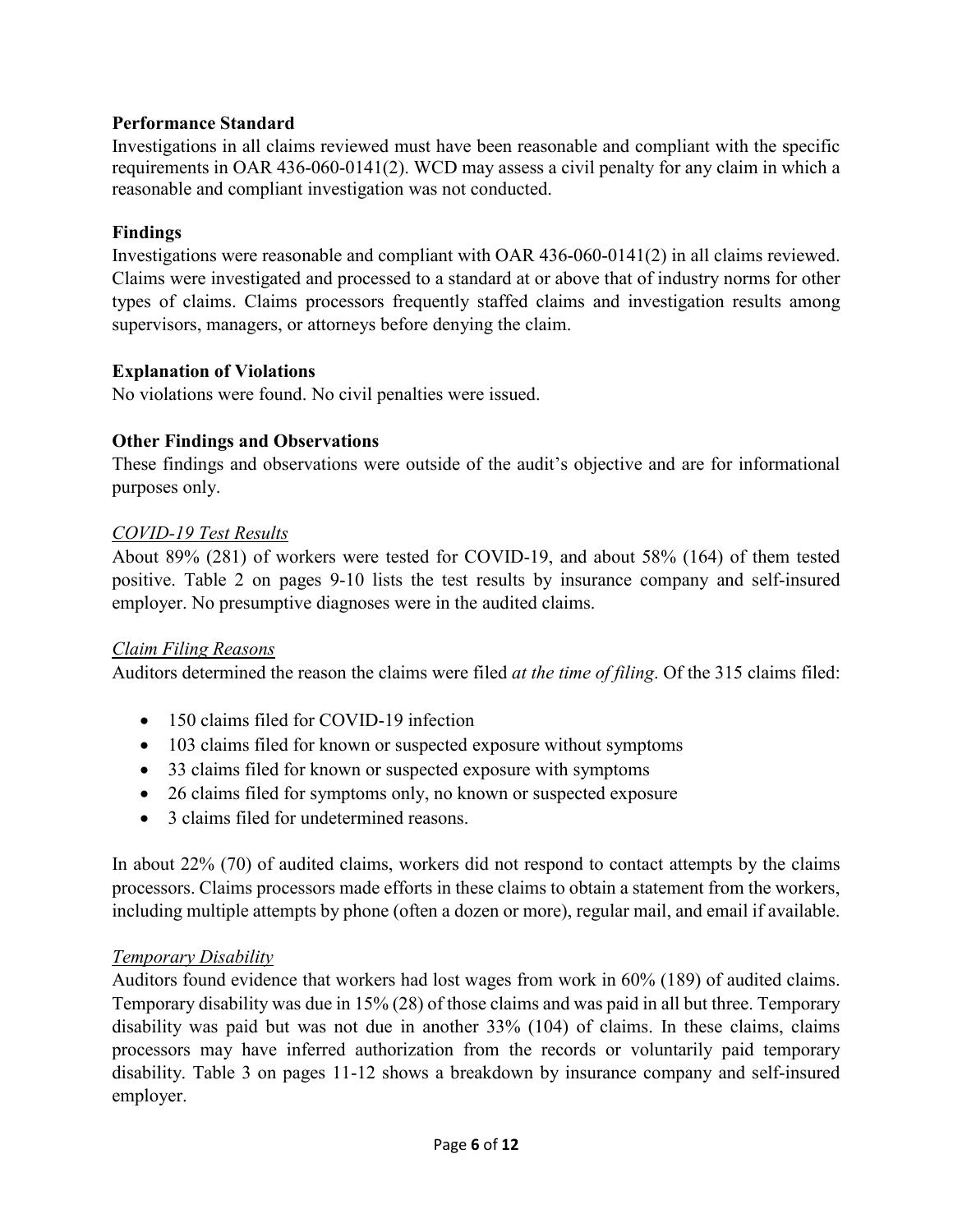### **Performance Standard**

Investigations in all claims reviewed must have been reasonable and compliant with the specific requirements in OAR 436-060-0141(2). WCD may assess a civil penalty for any claim in which a reasonable and compliant investigation was not conducted.

#### **Findings**

Investigations were reasonable and compliant with OAR 436-060-0141(2) in all claims reviewed. Claims were investigated and processed to a standard at or above that of industry norms for other types of claims. Claims processors frequently staffed claims and investigation results among supervisors, managers, or attorneys before denying the claim.

### **Explanation of Violations**

No violations were found. No civil penalties were issued.

# **Other Findings and Observations**

These findings and observations were outside of the audit's objective and are for informational purposes only.

### *COVID-19 Test Results*

About 89% (281) of workers were tested for COVID-19, and about 58% (164) of them tested positive. Table 2 on pages 9-10 lists the test results by insurance company and self-insured employer. No presumptive diagnoses were in the audited claims.

#### *Claim Filing Reasons*

Auditors determined the reason the claims were filed *at the time of filing*. Of the 315 claims filed:

- 150 claims filed for COVID-19 infection
- 103 claims filed for known or suspected exposure without symptoms
- 33 claims filed for known or suspected exposure with symptoms
- 26 claims filed for symptoms only, no known or suspected exposure
- 3 claims filed for undetermined reasons.

In about 22% (70) of audited claims, workers did not respond to contact attempts by the claims processors. Claims processors made efforts in these claims to obtain a statement from the workers, including multiple attempts by phone (often a dozen or more), regular mail, and email if available.

#### *Temporary Disability*

Auditors found evidence that workers had lost wages from work in 60% (189) of audited claims. Temporary disability was due in 15% (28) of those claims and was paid in all but three. Temporary disability was paid but was not due in another 33% (104) of claims. In these claims, claims processors may have inferred authorization from the records or voluntarily paid temporary disability. Table 3 on pages 11-12 shows a breakdown by insurance company and self-insured employer.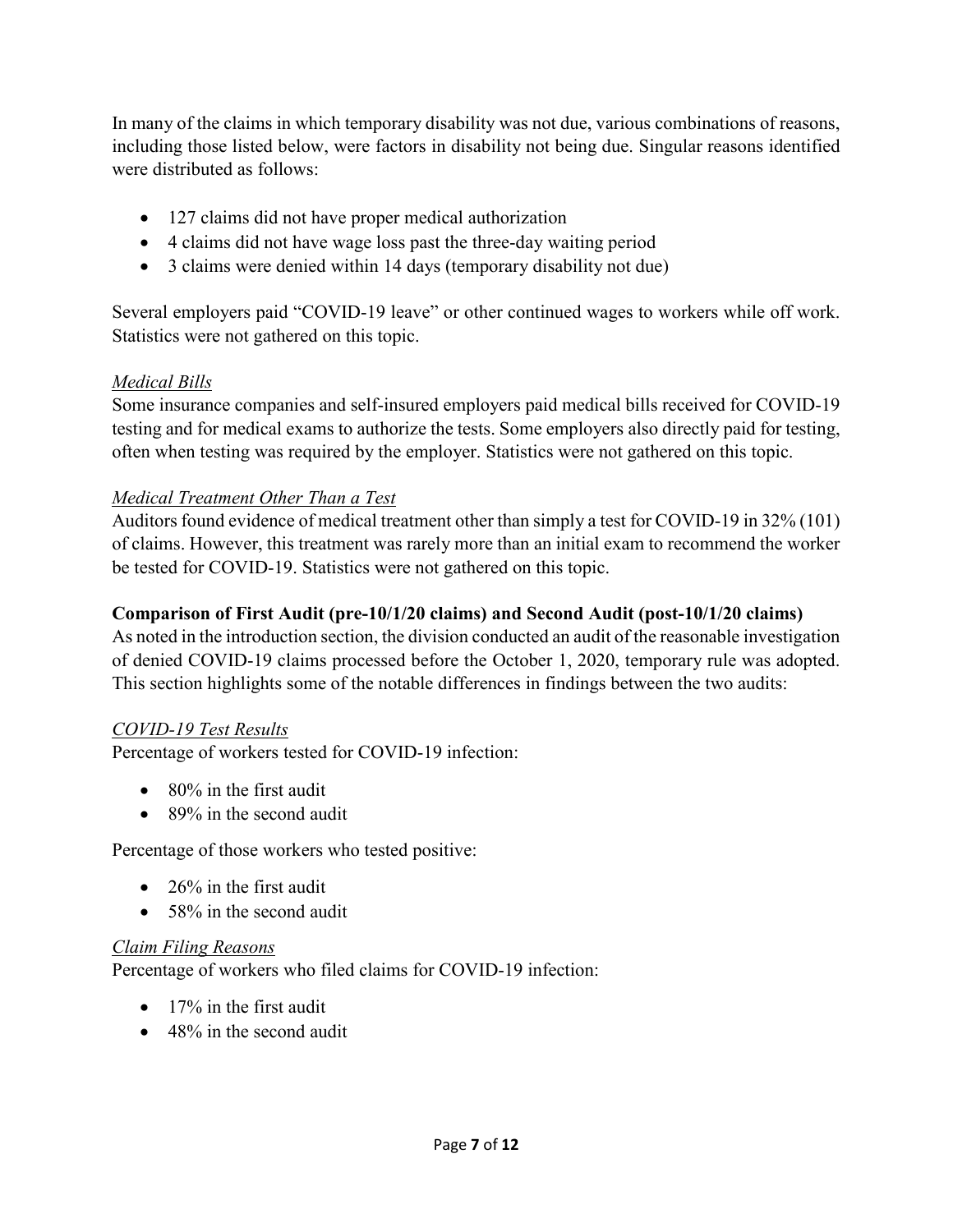In many of the claims in which temporary disability was not due, various combinations of reasons, including those listed below, were factors in disability not being due. Singular reasons identified were distributed as follows:

- 127 claims did not have proper medical authorization
- 4 claims did not have wage loss past the three-day waiting period
- 3 claims were denied within 14 days (temporary disability not due)

Several employers paid "COVID-19 leave" or other continued wages to workers while off work. Statistics were not gathered on this topic.

# *Medical Bills*

Some insurance companies and self-insured employers paid medical bills received for COVID-19 testing and for medical exams to authorize the tests. Some employers also directly paid for testing, often when testing was required by the employer. Statistics were not gathered on this topic.

# *Medical Treatment Other Than a Test*

Auditors found evidence of medical treatment other than simply a test for COVID-19 in 32% (101) of claims. However, this treatment was rarely more than an initial exam to recommend the worker be tested for COVID-19. Statistics were not gathered on this topic.

### **Comparison of First Audit (pre-10/1/20 claims) and Second Audit (post-10/1/20 claims)**

As noted in the introduction section, the division conducted an audit of the reasonable investigation of denied COVID-19 claims processed before the October 1, 2020, temporary rule was adopted. This section highlights some of the notable differences in findings between the two audits:

#### *COVID-19 Test Results*

Percentage of workers tested for COVID-19 infection:

- 80% in the first audit
- 89% in the second audit

Percentage of those workers who tested positive:

- $\bullet$  26% in the first audit
- 58% in the second audit

#### *Claim Filing Reasons*

Percentage of workers who filed claims for COVID-19 infection:

- 17% in the first audit
- 48% in the second audit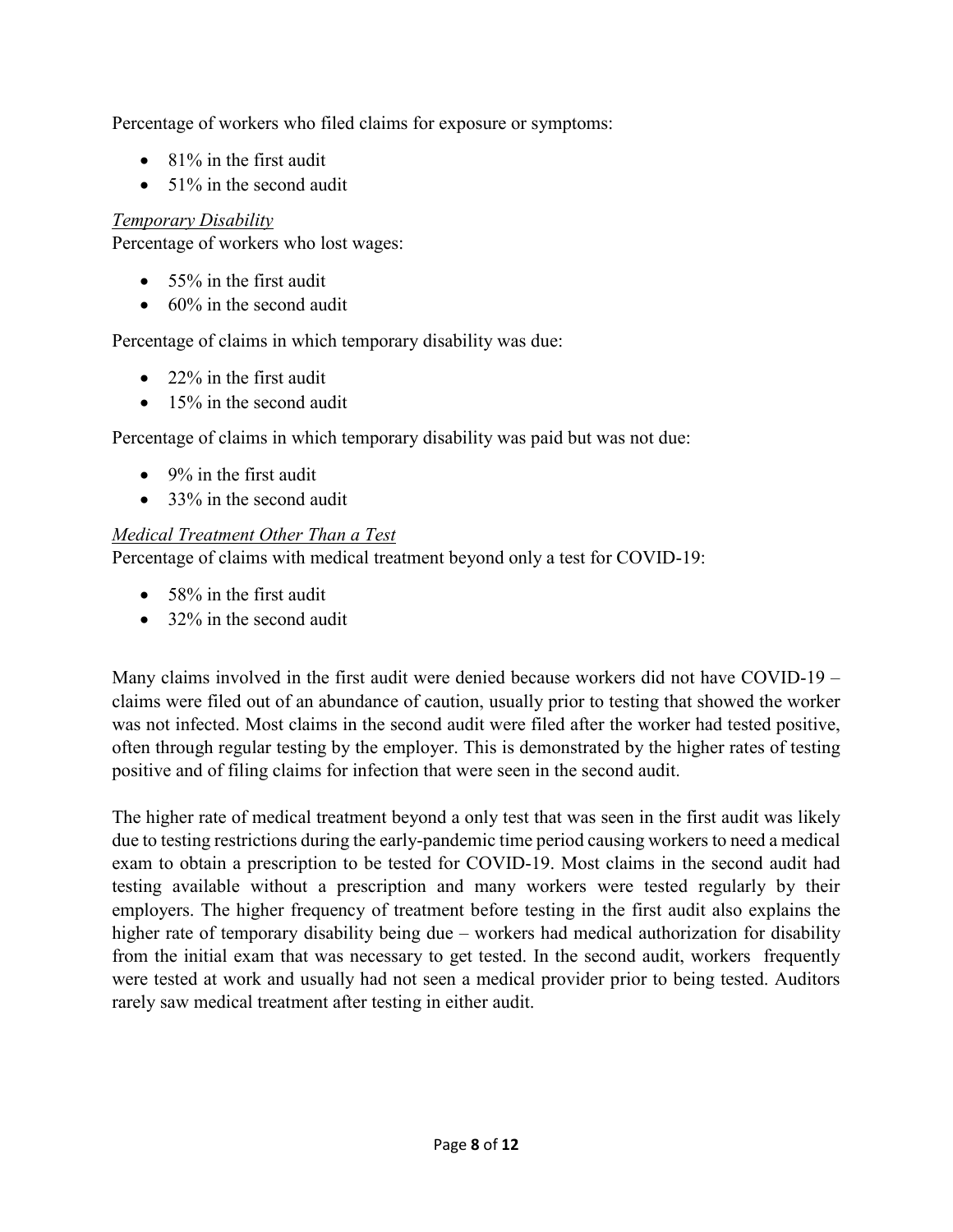Percentage of workers who filed claims for exposure or symptoms:

- 81% in the first audit
- 51% in the second audit

# *Temporary Disability*

Percentage of workers who lost wages:

- 55% in the first audit
- 60% in the second audit

Percentage of claims in which temporary disability was due:

- 22% in the first audit
- 15% in the second audit

Percentage of claims in which temporary disability was paid but was not due:

- 9% in the first audit
- 33% in the second audit

# *Medical Treatment Other Than a Test*

Percentage of claims with medical treatment beyond only a test for COVID-19:

- 58% in the first audit
- 32% in the second audit

Many claims involved in the first audit were denied because workers did not have COVID-19 – claims were filed out of an abundance of caution, usually prior to testing that showed the worker was not infected. Most claims in the second audit were filed after the worker had tested positive, often through regular testing by the employer. This is demonstrated by the higher rates of testing positive and of filing claims for infection that were seen in the second audit.

The higher rate of medical treatment beyond a only test that was seen in the first audit was likely due to testing restrictions during the early-pandemic time period causing workers to need a medical exam to obtain a prescription to be tested for COVID-19. Most claims in the second audit had testing available without a prescription and many workers were tested regularly by their employers. The higher frequency of treatment before testing in the first audit also explains the higher rate of temporary disability being due – workers had medical authorization for disability from the initial exam that was necessary to get tested. In the second audit, workers frequently were tested at work and usually had not seen a medical provider prior to being tested. Auditors rarely saw medical treatment after testing in either audit.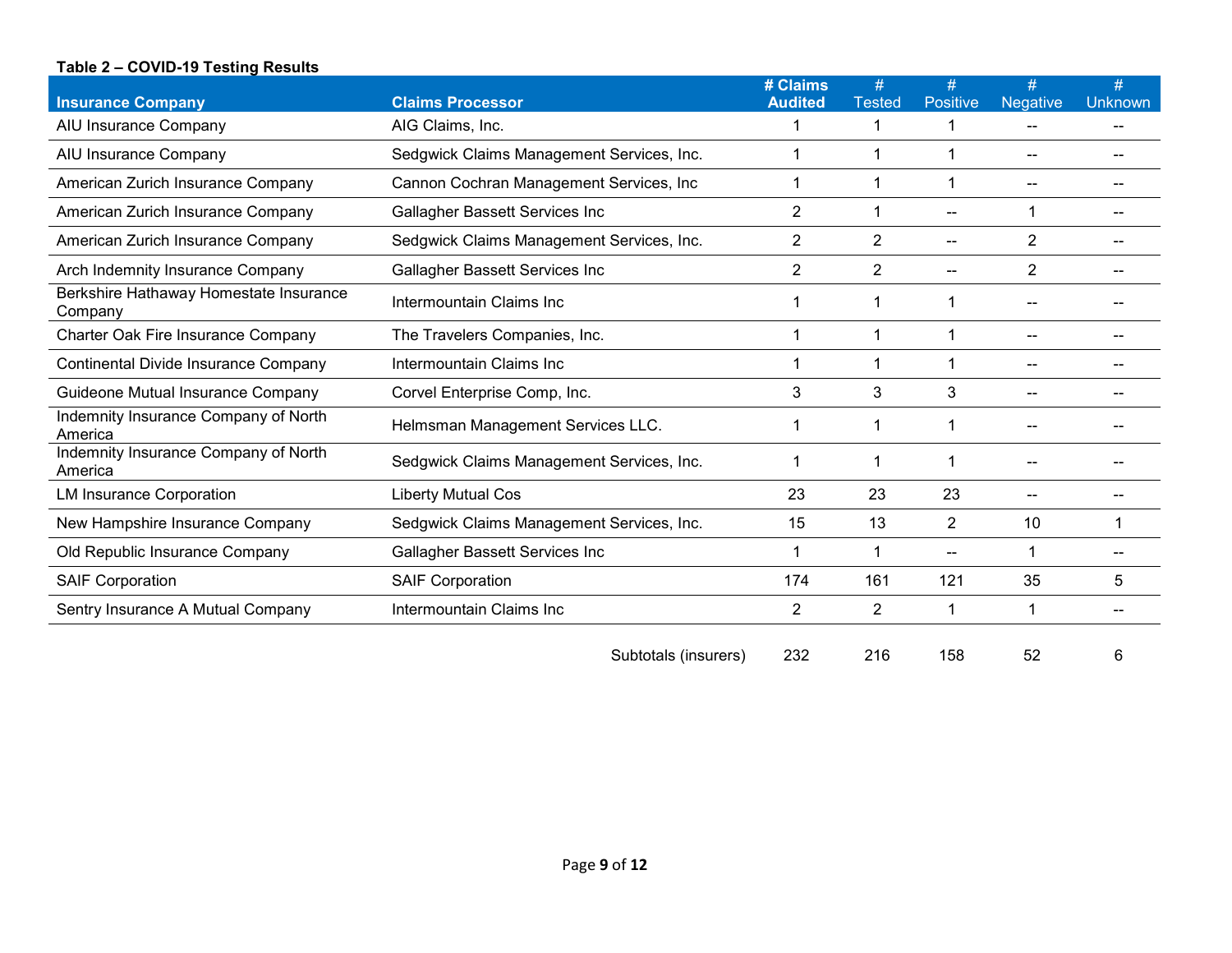#### **Table 2 – COVID-19 Testing Results**

| <b>Insurance Company</b>                          | <b>Claims Processor</b>                   | # Claims<br><b>Audited</b> | #<br><b>Tested</b> | <b>Positive</b> | <b>Negative</b> | #<br><b>Unknown</b> |
|---------------------------------------------------|-------------------------------------------|----------------------------|--------------------|-----------------|-----------------|---------------------|
| AIU Insurance Company                             | AIG Claims, Inc.                          |                            | 1                  | 1               |                 |                     |
| AIU Insurance Company                             | Sedgwick Claims Management Services, Inc. |                            | 1                  | 1               |                 |                     |
| American Zurich Insurance Company                 | Cannon Cochran Management Services, Inc   |                            | 1                  | 1               |                 |                     |
| American Zurich Insurance Company                 | Gallagher Bassett Services Inc            | $\overline{2}$             | 1                  | --              |                 |                     |
| American Zurich Insurance Company                 | Sedgwick Claims Management Services, Inc. | $\overline{2}$             | $\overline{2}$     | --              | $\overline{2}$  |                     |
| Arch Indemnity Insurance Company                  | Gallagher Bassett Services Inc            | $\overline{2}$             | 2                  | --              | $\overline{2}$  |                     |
| Berkshire Hathaway Homestate Insurance<br>Company | Intermountain Claims Inc                  |                            | 1                  | 1               |                 |                     |
| <b>Charter Oak Fire Insurance Company</b>         | The Travelers Companies, Inc.             |                            | 1                  | 1               |                 |                     |
| Continental Divide Insurance Company              | Intermountain Claims Inc                  |                            | 1                  | 1               |                 |                     |
| Guideone Mutual Insurance Company                 | Corvel Enterprise Comp, Inc.              | 3                          | 3                  | 3               |                 |                     |
| Indemnity Insurance Company of North<br>America   | Helmsman Management Services LLC.         |                            | 1                  | 1               |                 |                     |
| Indemnity Insurance Company of North<br>America   | Sedgwick Claims Management Services, Inc. |                            | 1                  | 1               |                 |                     |
| <b>LM Insurance Corporation</b>                   | <b>Liberty Mutual Cos</b>                 | 23                         | 23                 | 23              |                 |                     |
| New Hampshire Insurance Company                   | Sedgwick Claims Management Services, Inc. | 15                         | 13                 | 2               | 10              |                     |
| Old Republic Insurance Company                    | Gallagher Bassett Services Inc            |                            | 1                  | $-$             |                 |                     |
| <b>SAIF Corporation</b>                           | <b>SAIF Corporation</b>                   | 174                        | 161                | 121             | 35              | 5                   |
| Sentry Insurance A Mutual Company                 | Intermountain Claims Inc                  | 2                          | $\overline{2}$     | 1               |                 |                     |
|                                                   |                                           |                            |                    |                 |                 |                     |

| Subtotals (insurers) |  | 216 |  |  |  |
|----------------------|--|-----|--|--|--|
|----------------------|--|-----|--|--|--|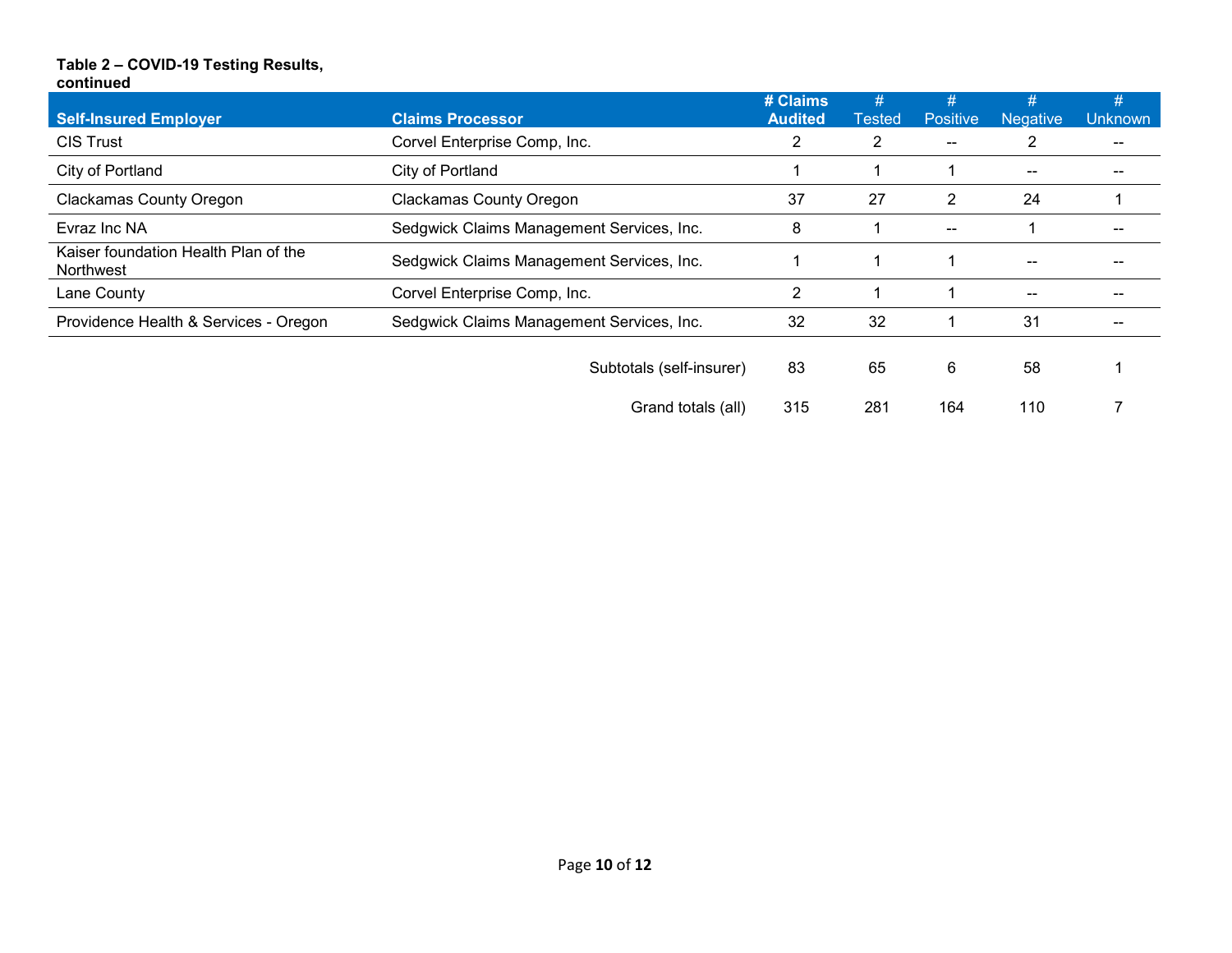#### **Table 2 – COVID-19 Testing Results, continued**

|                                                   |                                           | # Claims       | #              | #                        | #               | #              |
|---------------------------------------------------|-------------------------------------------|----------------|----------------|--------------------------|-----------------|----------------|
| <b>Self-Insured Employer</b>                      | <b>Claims Processor</b>                   | <b>Audited</b> | Tested         | <b>Positive</b>          | <b>Negative</b> | <b>Unknown</b> |
| <b>CIS Trust</b>                                  | Corvel Enterprise Comp, Inc.              | 2              | $\overline{2}$ | $\overline{\phantom{m}}$ |                 |                |
| City of Portland                                  | City of Portland                          |                |                |                          | --              | --             |
| <b>Clackamas County Oregon</b>                    | <b>Clackamas County Oregon</b>            | 37             | 27             | 2                        | 24              |                |
| Evraz Inc NA                                      | Sedgwick Claims Management Services, Inc. | 8              |                | $\mathbf{u}$             |                 |                |
| Kaiser foundation Health Plan of the<br>Northwest | Sedgwick Claims Management Services, Inc. |                |                |                          | --              |                |
| Lane County                                       | Corvel Enterprise Comp, Inc.              | 2              |                |                          | --              |                |
| Providence Health & Services - Oregon             | Sedgwick Claims Management Services, Inc. | 32             | 32             |                          | 31              |                |
|                                                   | Subtotals (self-insurer)                  | 83             | 65             | 6                        | 58              |                |
|                                                   | Grand totals (all)                        | 315            | 281            | 164                      | 110             |                |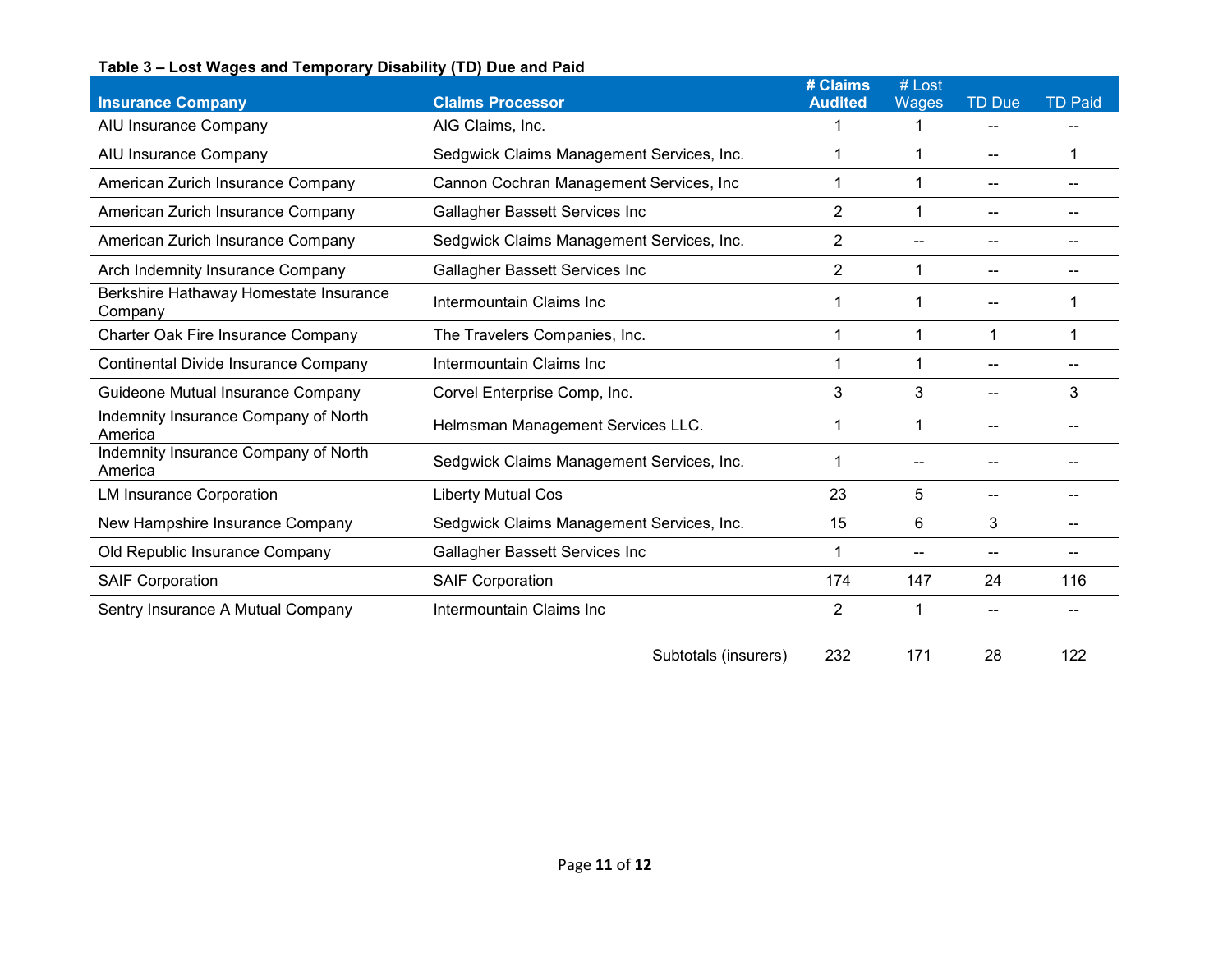#### **Table 3 – Lost Wages and Temporary Disability (TD) Due and Paid**

| <b>Insurance Company</b>                          | <b>Claims Processor</b>                   | # Claims<br><b>Audited</b> | # Lost<br>Wages | <b>TD Due</b> | <b>TD Paid</b> |
|---------------------------------------------------|-------------------------------------------|----------------------------|-----------------|---------------|----------------|
| AIU Insurance Company                             | AIG Claims, Inc.                          |                            |                 |               |                |
| AIU Insurance Company                             | Sedgwick Claims Management Services, Inc. |                            |                 |               |                |
| American Zurich Insurance Company                 | Cannon Cochran Management Services, Inc   | 1                          |                 |               | --             |
| American Zurich Insurance Company                 | Gallagher Bassett Services Inc            | 2                          |                 |               |                |
| American Zurich Insurance Company                 | Sedgwick Claims Management Services, Inc. | 2                          |                 |               |                |
| Arch Indemnity Insurance Company                  | Gallagher Bassett Services Inc            | $\overline{2}$             |                 |               |                |
| Berkshire Hathaway Homestate Insurance<br>Company | Intermountain Claims Inc                  |                            |                 |               |                |
| <b>Charter Oak Fire Insurance Company</b>         | The Travelers Companies, Inc.             |                            |                 |               |                |
| Continental Divide Insurance Company              | Intermountain Claims Inc                  |                            |                 |               |                |
| Guideone Mutual Insurance Company                 | Corvel Enterprise Comp, Inc.              | 3                          | 3               |               | 3              |
| Indemnity Insurance Company of North<br>America   | Helmsman Management Services LLC.         |                            |                 |               |                |
| Indemnity Insurance Company of North<br>America   | Sedgwick Claims Management Services, Inc. |                            |                 |               |                |
| <b>LM Insurance Corporation</b>                   | Liberty Mutual Cos                        | 23                         | 5               |               |                |
| New Hampshire Insurance Company                   | Sedgwick Claims Management Services, Inc. | 15                         | 6               | 3             |                |
| Old Republic Insurance Company                    | Gallagher Bassett Services Inc            |                            |                 |               |                |
| <b>SAIF Corporation</b>                           | <b>SAIF Corporation</b>                   | 174                        | 147             | 24            | 116            |
| Sentry Insurance A Mutual Company                 | Intermountain Claims Inc                  | 2                          |                 |               |                |
|                                                   |                                           |                            |                 |               |                |

Subtotals (insurers) 232 171 28 122